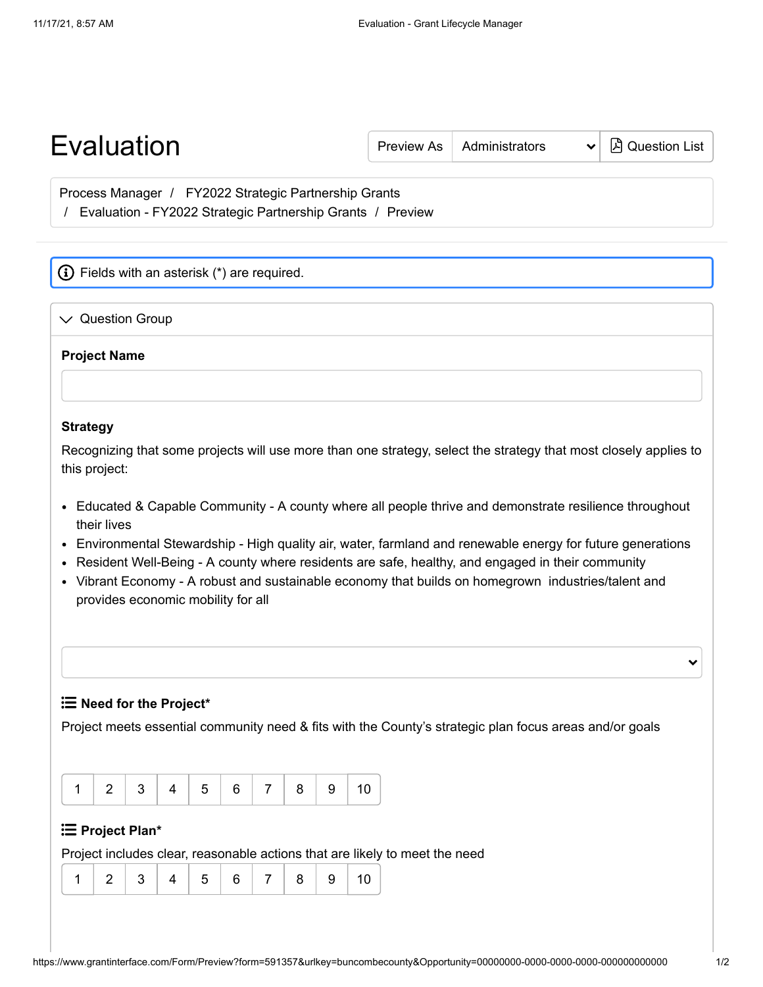| <b>Evaluation</b>                                                                                                                                    | <b>Preview As</b> | Administrators | A Question List |
|------------------------------------------------------------------------------------------------------------------------------------------------------|-------------------|----------------|-----------------|
| Process Manager / FY2022 Strategic Partnership Grants<br>Evaluation - FY2022 Strategic Partnership Grants / Preview                                  |                   |                |                 |
| (i) Fields with an asterisk (*) are required.                                                                                                        |                   |                |                 |
| <b>Question Group</b><br>$\vee$                                                                                                                      |                   |                |                 |
| <b>Project Name</b>                                                                                                                                  |                   |                |                 |
| <b>Strategy</b><br>Recognizing that some projects will use more than one strategy, select the strategy that most closely applies to<br>this project: |                   |                |                 |
| • Educated & Capable Community - A county where all people thrive and demonstrate resilience throughout<br>their lives                               |                   |                |                 |

- Environmental Stewardship High quality air, water, farmland and renewable energy for future generations
- Resident Well-Being A county where residents are safe, healthy, and engaged in their community
- Vibrant Economy A robust and sustainable economy that builds on homegrown industries/talent and provides economic mobility for all

**Need for the Project\***

Project meets essential community need & fits with the County's strategic plan focus areas and/or goals

|  |  |  | $\vert 4 \vert 5 \vert$ |  |  |  | 3   7   8 |  |  |
|--|--|--|-------------------------|--|--|--|-----------|--|--|
|--|--|--|-------------------------|--|--|--|-----------|--|--|

## **Project Plan\***

Project includes clear, reasonable actions that are likely to meet the need

|  |  |  |  | $\sqrt{5}$ |  |  | 7   8 |  |  |
|--|--|--|--|------------|--|--|-------|--|--|
|--|--|--|--|------------|--|--|-------|--|--|